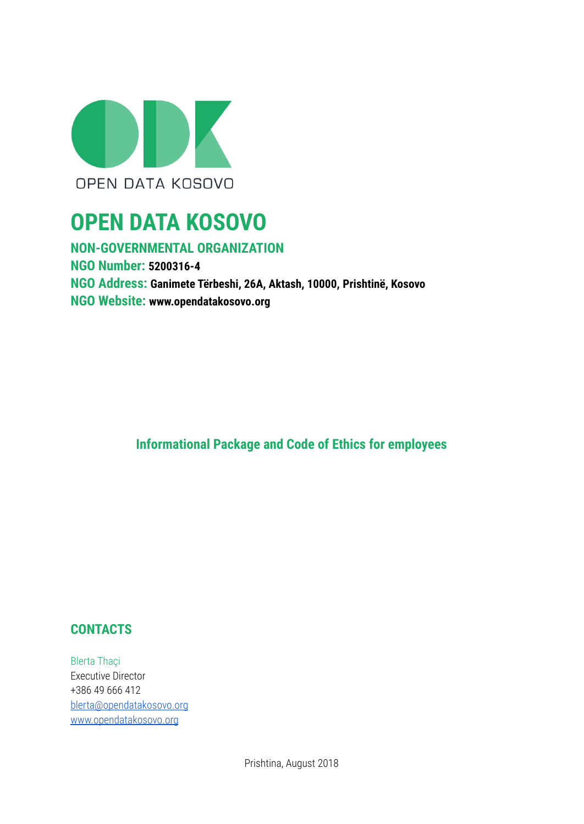

# **OPEN DATA KOSOVO**

**NON-GOVERNMENTAL ORGANIZATION NGO Number: 5200316-4 NGO Address: Ganimete Tërbeshi, 26A, Aktash, 10000, Prishtinë, Kosovo NGO Website: www.opendatakosovo.org**

**Informational Package and Code of Ethics for employees**

# **CONTACTS**

Blerta Thaçi Executive Director +386 49 666 412 [blerta@opendatakosovo.org](mailto:blerta@opendatakosovo.org) [www.opendatakosovo.org](http://www.opendatakosovo.org)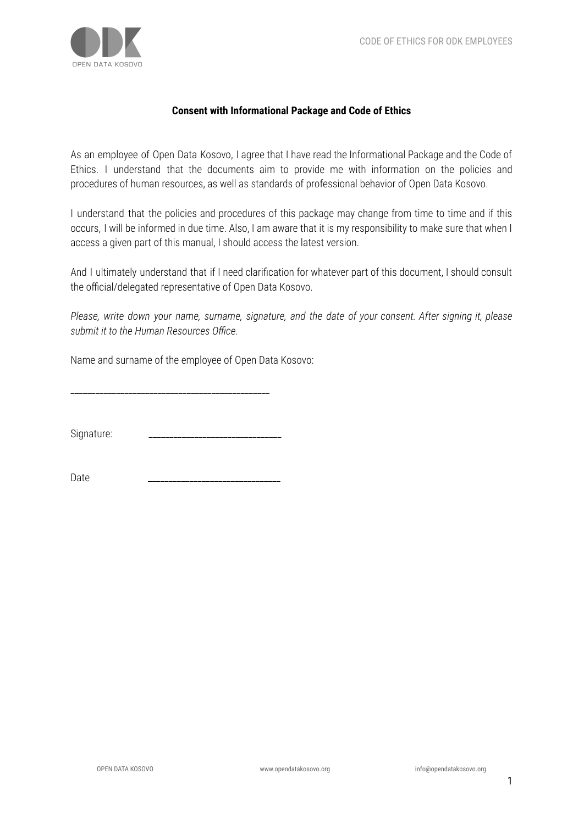

#### **Consent with Informational Package and Code of Ethics**

As an employee of Open Data Kosovo, I agree that I have read the Informational Package and the Code of Ethics. I understand that the documents aim to provide me with information on the policies and procedures of human resources, as well as standards of professional behavior of Open Data Kosovo.

I understand that the policies and procedures of this package may change from time to time and if this occurs, I will be informed in due time. Also, I am aware that it is my responsibility to make sure that when I access a given part of this manual, I should access the latest version.

And I ultimately understand that if I need clarification for whatever part of this document, I should consult the official/delegated representative of Open Data Kosovo.

*Please, write down your name, surname, signature, and the date of your consent. After signing it, please submit it to the Human Resources Office.*

Name and surname of the employee of Open Data Kosovo:

\_\_\_\_\_\_\_\_\_\_\_\_\_\_\_\_\_\_\_\_\_\_\_\_\_\_\_\_\_\_\_\_\_\_\_\_\_\_\_\_\_\_\_\_\_\_\_\_

Signature:

Date \_\_\_\_\_\_\_\_\_\_\_\_\_\_\_\_\_\_\_\_\_\_\_\_\_\_\_\_\_\_\_\_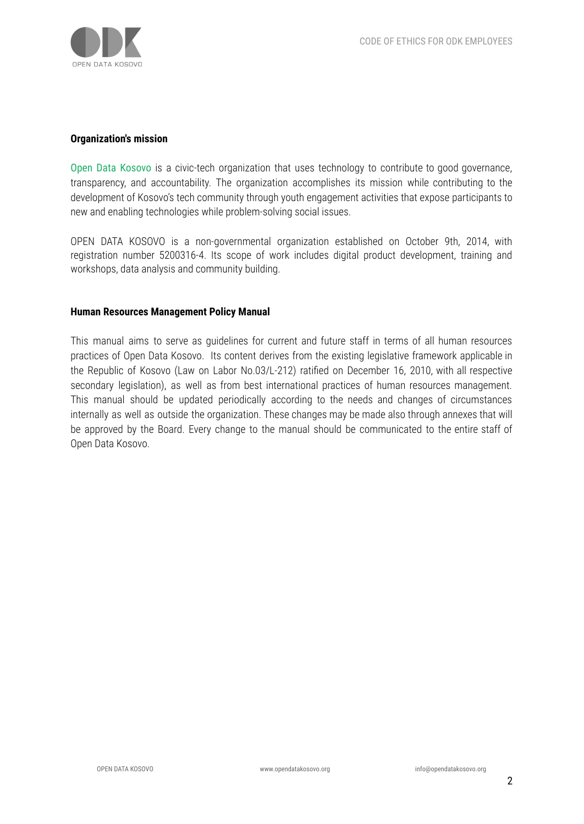

#### **Organization's mission**

Open Data Kosovo is a civic-tech organization that uses technology to contribute to good governance, transparency, and accountability. The organization accomplishes its mission while contributing to the development of Kosovo's tech community through youth engagement activities that expose participants to new and enabling technologies while problem-solving social issues.

OPEN DATA KOSOVO is a non-governmental organization established on October 9th, 2014, with registration number 5200316-4. Its scope of work includes digital product development, training and workshops, data analysis and community building.

#### **Human Resources Management Policy Manual**

This manual aims to serve as guidelines for current and future staff in terms of all human resources practices of Open Data Kosovo. Its content derives from the existing legislative framework applicable in the Republic of Kosovo (Law on Labor No.03/L-212) ratified on December 16, 2010, with all respective secondary legislation), as well as from best international practices of human resources management. This manual should be updated periodically according to the needs and changes of circumstances internally as well as outside the organization. These changes may be made also through annexes that will be approved by the Board. Every change to the manual should be communicated to the entire staff of Open Data Kosovo.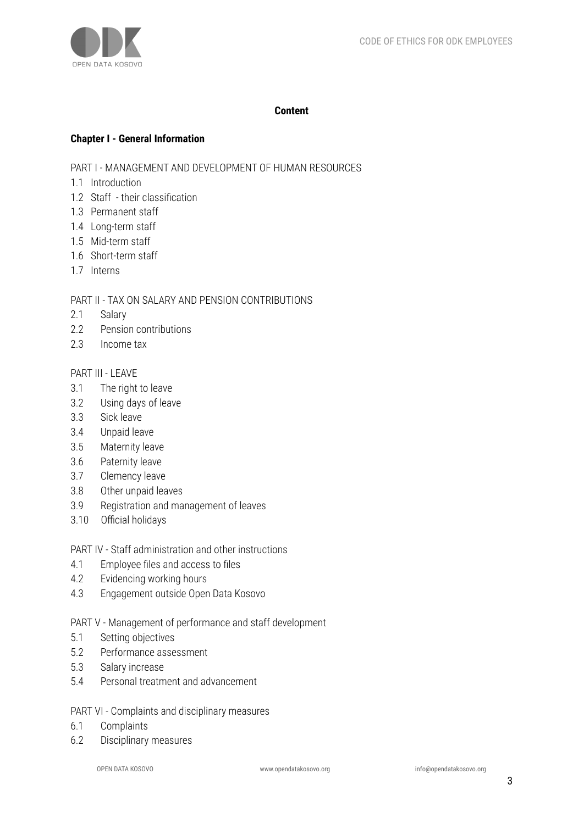

#### **Content**

#### **Chapter I - General Information**

PART I - MANAGEMENT AND DEVELOPMENT OF HUMAN RESOURCES

- 1.1 Introduction
- 1.2 Staff their classification
- 1.3 Permanent staff
- 1.4 Long-term staff
- 1.5 Mid-term staff
- 1.6 Short-term staff
- 1.7 Interns

#### PART II - TAX ON SALARY AND PENSION CONTRIBUTIONS

- 2.1 Salary
- 2.2 Pension contributions
- 2.3 Income tax

# PART III - LEAVE

- 3.1 The right to leave
- 3.2 Using days of leave
- 3.3 Sick leave
- 3.4 Unpaid leave
- 3.5 Maternity leave
- 3.6 Paternity leave
- 3.7 Clemency leave
- 3.8 Other unpaid leaves
- 3.9 Registration and management of leaves
- 3.10 Official holidays
- PART IV Staff administration and other instructions
- 4.1 Employee files and access to files
- 4.2 Evidencing working hours
- 4.3 Engagement outside Open Data Kosovo

PART V - Management of performance and staff development

- 5.1 Setting objectives
- 5.2 Performance assessment
- 5.3 Salary increase
- 5.4 Personal treatment and advancement

#### PART VI - Complaints and disciplinary measures

- 6.1 Complaints
- 6.2 Disciplinary measures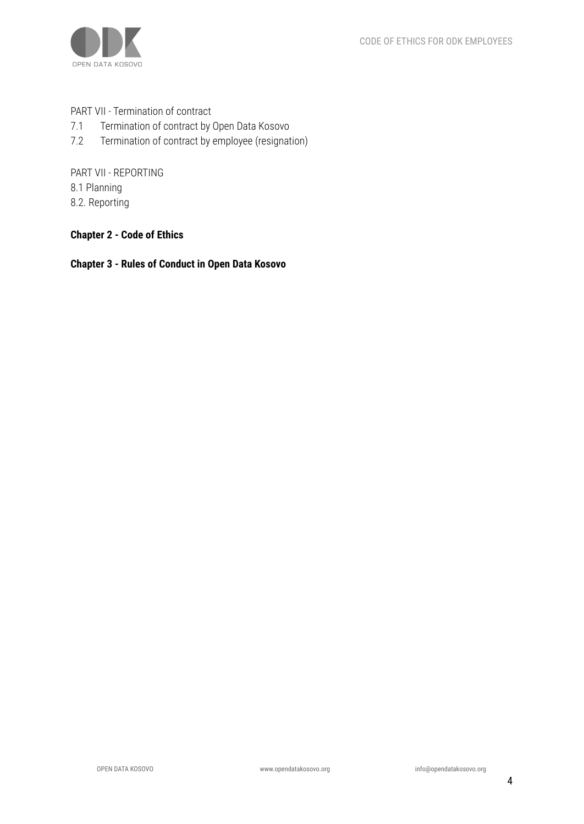

PART VII - Termination of contract

- 7.1 Termination of contract by Open Data Kosovo
- 7.2 Termination of contract by employee (resignation)

PART VII - REPORTING 8.1 Planning 8.2. Reporting

**Chapter 2 - Code of Ethics**

**Chapter 3 - Rules of Conduct in Open Data Kosovo**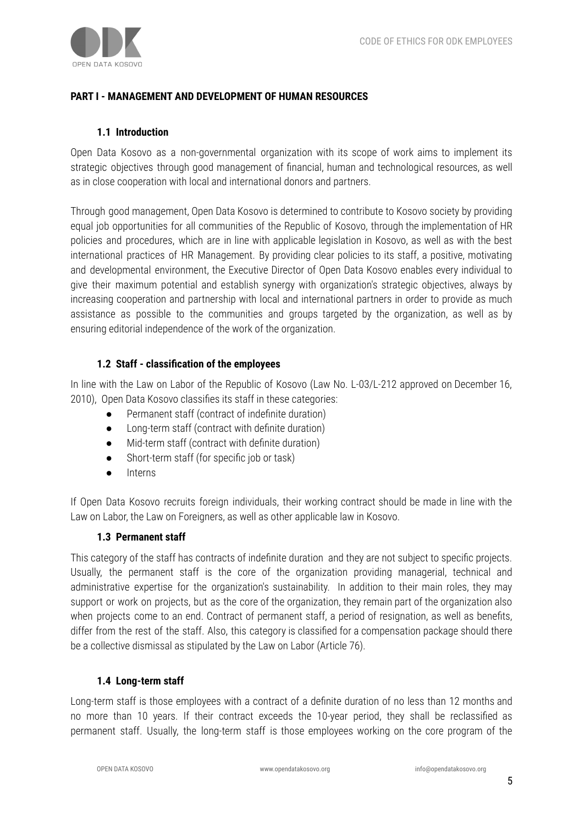# **PART I - MANAGEMENT AND DEVELOPMENT OF HUMAN RESOURCES**

#### **1.1 Introduction**

Open Data Kosovo as a non-governmental organization with its scope of work aims to implement its strategic objectives through good management of financial, human and technological resources, as well as in close cooperation with local and international donors and partners.

Through good management, Open Data Kosovo is determined to contribute to Kosovo society by providing equal job opportunities for all communities of the Republic of Kosovo, through the implementation of HR policies and procedures, which are in line with applicable legislation in Kosovo, as well as with the best international practices of HR Management. By providing clear policies to its staff, a positive, motivating and developmental environment, the Executive Director of Open Data Kosovo enables every individual to give their maximum potential and establish synergy with organization's strategic objectives, always by increasing cooperation and partnership with local and international partners in order to provide as much assistance as possible to the communities and groups targeted by the organization, as well as by ensuring editorial independence of the work of the organization.

#### **1.2 Staff - classification of the employees**

In line with the Law on Labor of the Republic of Kosovo (Law No. L-03/L-212 approved on December 16, 2010), Open Data Kosovo classifies its staff in these categories:

- Permanent staff (contract of indefinite duration)
- Long-term staff (contract with definite duration)
- Mid-term staff (contract with definite duration)
- Short-term staff (for specific job or task)
- **Interns**

If Open Data Kosovo recruits foreign individuals, their working contract should be made in line with the Law on Labor, the Law on Foreigners, as well as other applicable law in Kosovo.

#### **1.3 Permanent staff**

This category of the staff has contracts of indefinite duration and they are not subject to specific projects. Usually, the permanent staff is the core of the organization providing managerial, technical and administrative expertise for the organization's sustainability. In addition to their main roles, they may support or work on projects, but as the core of the organization, they remain part of the organization also when projects come to an end. Contract of permanent staff, a period of resignation, as well as benefits, differ from the rest of the staff. Also, this category is classified for a compensation package should there be a collective dismissal as stipulated by the Law on Labor (Article 76).

#### **1.4 Long-term staff**

Long-term staff is those employees with a contract of a definite duration of no less than 12 months and no more than 10 years. If their contract exceeds the 10-year period, they shall be reclassified as permanent staff. Usually, the long-term staff is those employees working on the core program of the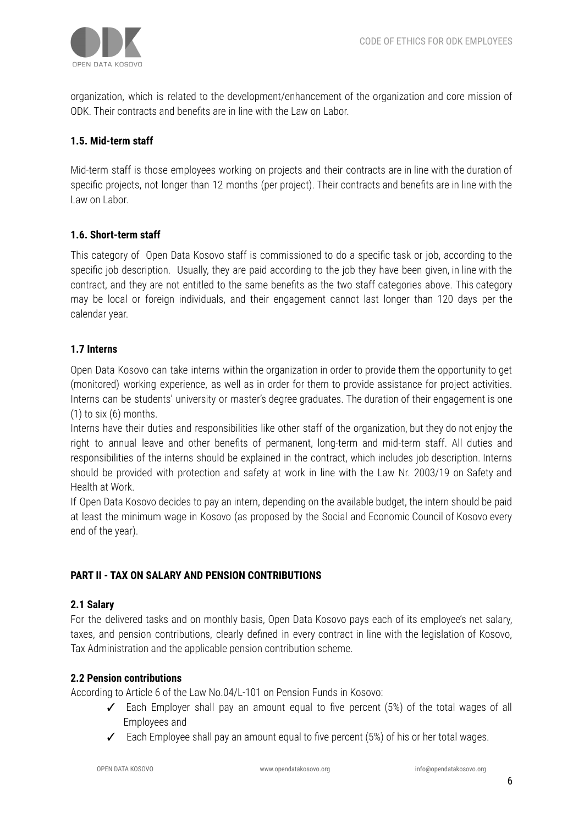

organization, which is related to the development/enhancement of the organization and core mission of ODK. Their contracts and benefits are in line with the Law on Labor.

# **1.5. Mid-term staff**

Mid-term staff is those employees working on projects and their contracts are in line with the duration of specific projects, not longer than 12 months (per project). Their contracts and benefits are in line with the Law on Labor.

# **1.6. Short-term staff**

This category of Open Data Kosovo staff is commissioned to do a specific task or job, according to the specific job description. Usually, they are paid according to the job they have been given, in line with the contract, and they are not entitled to the same benefits as the two staff categories above. This category may be local or foreign individuals, and their engagement cannot last longer than 120 days per the calendar year.

# **1.7 Interns**

Open Data Kosovo can take interns within the organization in order to provide them the opportunity to get (monitored) working experience, as well as in order for them to provide assistance for project activities. Interns can be students' university or master's degree graduates. The duration of their engagement is one  $(1)$  to six  $(6)$  months.

Interns have their duties and responsibilities like other staff of the organization, but they do not enjoy the right to annual leave and other benefits of permanent, long-term and mid-term staff. All duties and responsibilities of the interns should be explained in the contract, which includes job description. Interns should be provided with protection and safety at work in line with the Law Nr. 2003/19 on Safety and Health at Work.

If Open Data Kosovo decides to pay an intern, depending on the available budget, the intern should be paid at least the minimum wage in Kosovo (as proposed by the Social and Economic Council of Kosovo every end of the year).

# **PART II - TAX ON SALARY AND PENSION CONTRIBUTIONS**

#### **2.1 Salary**

For the delivered tasks and on monthly basis, Open Data Kosovo pays each of its employee's net salary, taxes, and pension contributions, clearly defined in every contract in line with the legislation of Kosovo, Tax Administration and the applicable pension contribution scheme.

#### **2.2 Pension contributions**

According to Article 6 of the Law No.04/L-101 on Pension Funds in Kosovo:

- ✓ Each Employer shall pay an amount equal to five percent (5%) of the total wages of all Employees and
- $\checkmark$  Each Employee shall pay an amount equal to five percent (5%) of his or her total wages.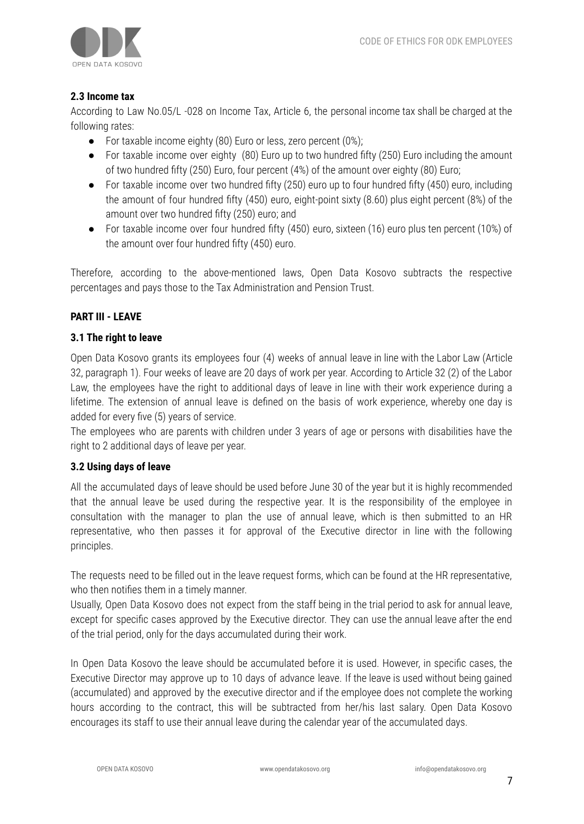

# **2.3 Income tax**

According to Law No.05/L -028 on Income Tax, Article 6, the personal income tax shall be charged at the following rates:

- For taxable income eighty (80) Euro or less, zero percent (0%);
- For taxable income over eighty (80) Euro up to two hundred fifty (250) Euro including the amount of two hundred fifty (250) Euro, four percent (4%) of the amount over eighty (80) Euro;
- For taxable income over two hundred fifty (250) euro up to four hundred fifty (450) euro, including the amount of four hundred fifty (450) euro, eight-point sixty (8.60) plus eight percent (8%) of the amount over two hundred fifty (250) euro; and
- For taxable income over four hundred fifty (450) euro, sixteen (16) euro plus ten percent (10%) of the amount over four hundred fifty (450) euro.

Therefore, according to the above-mentioned laws, Open Data Kosovo subtracts the respective percentages and pays those to the Tax Administration and Pension Trust.

# **PART III - LEAVE**

#### **3.1 The right to leave**

Open Data Kosovo grants its employees four (4) weeks of annual leave in line with the Labor Law (Article 32, paragraph 1). Four weeks of leave are 20 days of work per year. According to Article 32 (2) of the Labor Law, the employees have the right to additional days of leave in line with their work experience during a lifetime. The extension of annual leave is defined on the basis of work experience, whereby one day is added for every five (5) years of service.

The employees who are parents with children under 3 years of age or persons with disabilities have the right to 2 additional days of leave per year.

#### **3.2 Using days of leave**

All the accumulated days of leave should be used before June 30 of the year but it is highly recommended that the annual leave be used during the respective year. It is the responsibility of the employee in consultation with the manager to plan the use of annual leave, which is then submitted to an HR representative, who then passes it for approval of the Executive director in line with the following principles.

The requests need to be filled out in the leave request forms, which can be found at the HR representative, who then notifies them in a timely manner.

Usually, Open Data Kosovo does not expect from the staff being in the trial period to ask for annual leave, except for specific cases approved by the Executive director. They can use the annual leave after the end of the trial period, only for the days accumulated during their work.

In Open Data Kosovo the leave should be accumulated before it is used. However, in specific cases, the Executive Director may approve up to 10 days of advance leave. If the leave is used without being gained (accumulated) and approved by the executive director and if the employee does not complete the working hours according to the contract, this will be subtracted from her/his last salary. Open Data Kosovo encourages its staff to use their annual leave during the calendar year of the accumulated days.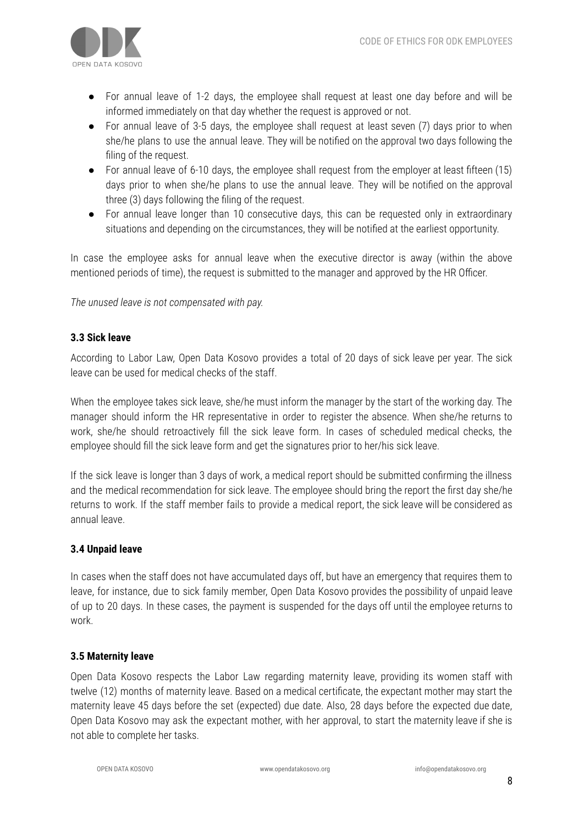

- For annual leave of 1-2 days, the employee shall request at least one day before and will be informed immediately on that day whether the request is approved or not.
- For annual leave of 3-5 days, the employee shall request at least seven (7) days prior to when she/he plans to use the annual leave. They will be notified on the approval two days following the filing of the request.
- For annual leave of 6-10 days, the employee shall request from the employer at least fifteen (15) days prior to when she/he plans to use the annual leave. They will be notified on the approval three (3) days following the filing of the request.
- For annual leave longer than 10 consecutive days, this can be requested only in extraordinary situations and depending on the circumstances, they will be notified at the earliest opportunity.

In case the employee asks for annual leave when the executive director is away (within the above mentioned periods of time), the request is submitted to the manager and approved by the HR Officer.

*The unused leave is not compensated with pay.*

# **3.3 Sick leave**

According to Labor Law, Open Data Kosovo provides a total of 20 days of sick leave per year. The sick leave can be used for medical checks of the staff.

When the employee takes sick leave, she/he must inform the manager by the start of the working day. The manager should inform the HR representative in order to register the absence. When she/he returns to work, she/he should retroactively fill the sick leave form. In cases of scheduled medical checks, the employee should fill the sick leave form and get the signatures prior to her/his sick leave.

If the sick leave is longer than 3 days of work, a medical report should be submitted confirming the illness and the medical recommendation for sick leave. The employee should bring the report the first day she/he returns to work. If the staff member fails to provide a medical report, the sick leave will be considered as annual leave.

# **3.4 Unpaid leave**

In cases when the staff does not have accumulated days off, but have an emergency that requires them to leave, for instance, due to sick family member, Open Data Kosovo provides the possibility of unpaid leave of up to 20 days. In these cases, the payment is suspended for the days off until the employee returns to work.

# **3.5 Maternity leave**

Open Data Kosovo respects the Labor Law regarding maternity leave, providing its women staff with twelve (12) months of maternity leave. Based on a medical certificate, the expectant mother may start the maternity leave 45 days before the set (expected) due date. Also, 28 days before the expected due date, Open Data Kosovo may ask the expectant mother, with her approval, to start the maternity leave if she is not able to complete her tasks.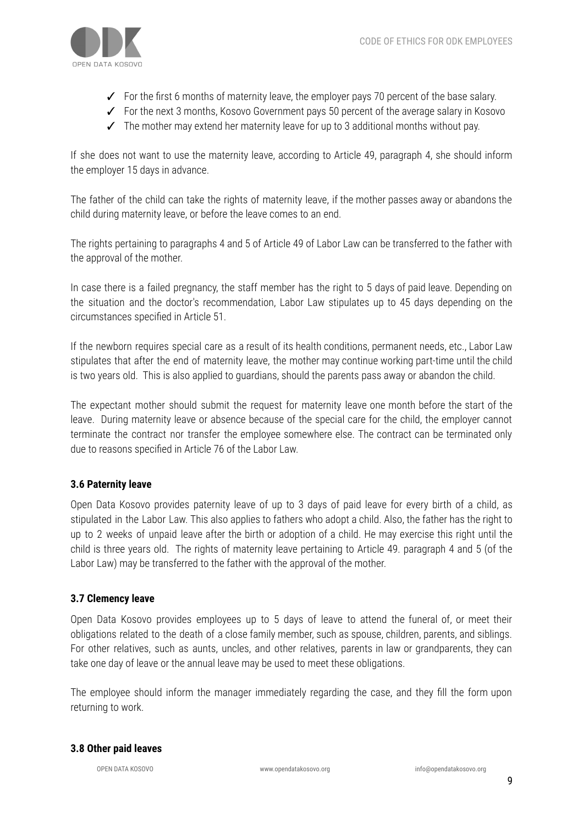

- ✓ For the first 6 months of maternity leave, the employer pays 70 percent of the base salary.
- ✓ For the next 3 months, Kosovo Government pays 50 percent of the average salary in Kosovo
- $\checkmark$  The mother may extend her maternity leave for up to 3 additional months without pay.

If she does not want to use the maternity leave, according to Article 49, paragraph 4, she should inform the employer 15 days in advance.

The father of the child can take the rights of maternity leave, if the mother passes away or abandons the child during maternity leave, or before the leave comes to an end.

The rights pertaining to paragraphs 4 and 5 of Article 49 of Labor Law can be transferred to the father with the approval of the mother.

In case there is a failed pregnancy, the staff member has the right to 5 days of paid leave. Depending on the situation and the doctor's recommendation, Labor Law stipulates up to 45 days depending on the circumstances specified in Article 51.

If the newborn requires special care as a result of its health conditions, permanent needs, etc., Labor Law stipulates that after the end of maternity leave, the mother may continue working part-time until the child is two years old. This is also applied to guardians, should the parents pass away or abandon the child.

The expectant mother should submit the request for maternity leave one month before the start of the leave. During maternity leave or absence because of the special care for the child, the employer cannot terminate the contract nor transfer the employee somewhere else. The contract can be terminated only due to reasons specified in Article 76 of the Labor Law.

# **3.6 Paternity leave**

Open Data Kosovo provides paternity leave of up to 3 days of paid leave for every birth of a child, as stipulated in the Labor Law. This also applies to fathers who adopt a child. Also, the father has the right to up to 2 weeks of unpaid leave after the birth or adoption of a child. He may exercise this right until the child is three years old. The rights of maternity leave pertaining to Article 49. paragraph 4 and 5 (of the Labor Law) may be transferred to the father with the approval of the mother.

# **3.7 Clemency leave**

Open Data Kosovo provides employees up to 5 days of leave to attend the funeral of, or meet their obligations related to the death of a close family member, such as spouse, children, parents, and siblings. For other relatives, such as aunts, uncles, and other relatives, parents in law or grandparents, they can take one day of leave or the annual leave may be used to meet these obligations.

The employee should inform the manager immediately regarding the case, and they fill the form upon returning to work.

#### **3.8 Other paid leaves**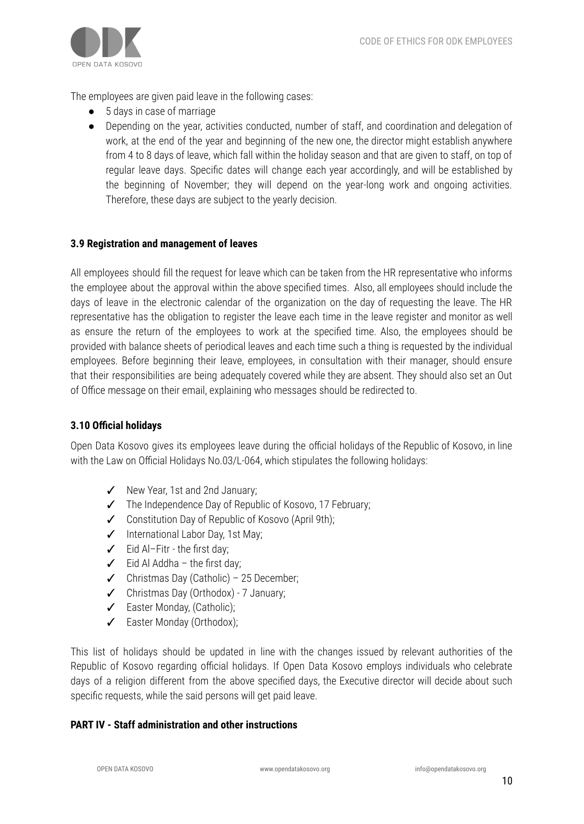

The employees are given paid leave in the following cases:

- 5 days in case of marriage
- Depending on the year, activities conducted, number of staff, and coordination and delegation of work, at the end of the year and beginning of the new one, the director might establish anywhere from 4 to 8 days of leave, which fall within the holiday season and that are given to staff, on top of regular leave days. Specific dates will change each year accordingly, and will be established by the beginning of November; they will depend on the year-long work and ongoing activities. Therefore, these days are subject to the yearly decision.

# **3.9 Registration and management of leaves**

All employees should fill the request for leave which can be taken from the HR representative who informs the employee about the approval within the above specified times. Also, all employees should include the days of leave in the electronic calendar of the organization on the day of requesting the leave. The HR representative has the obligation to register the leave each time in the leave register and monitor as well as ensure the return of the employees to work at the specified time. Also, the employees should be provided with balance sheets of periodical leaves and each time such a thing is requested by the individual employees. Before beginning their leave, employees, in consultation with their manager, should ensure that their responsibilities are being adequately covered while they are absent. They should also set an Out of Office message on their email, explaining who messages should be redirected to.

#### **3.10 Official holidays**

Open Data Kosovo gives its employees leave during the official holidays of the Republic of Kosovo, in line with the Law on Official Holidays No.03/L-064, which stipulates the following holidays:

- ✓ New Year, 1st and 2nd January;
- ✓ The Independence Day of Republic of Kosovo, 17 February;
- ✓ Constitution Day of Republic of Kosovo (April 9th);
- ✓ International Labor Day, 1st May;
- ✓ Eid Al–Fitr the first day;
- $\angle$  Eid Al Addha the first day:
- ✓ Christmas Day (Catholic) 25 December;
- ✓ Christmas Day (Orthodox) 7 January;
- ✓ Easter Monday, (Catholic);
- ✓ Easter Monday (Orthodox);

This list of holidays should be updated in line with the changes issued by relevant authorities of the Republic of Kosovo regarding official holidays. If Open Data Kosovo employs individuals who celebrate days of a religion different from the above specified days, the Executive director will decide about such specific requests, while the said persons will get paid leave.

#### **PART IV - Staff administration and other instructions**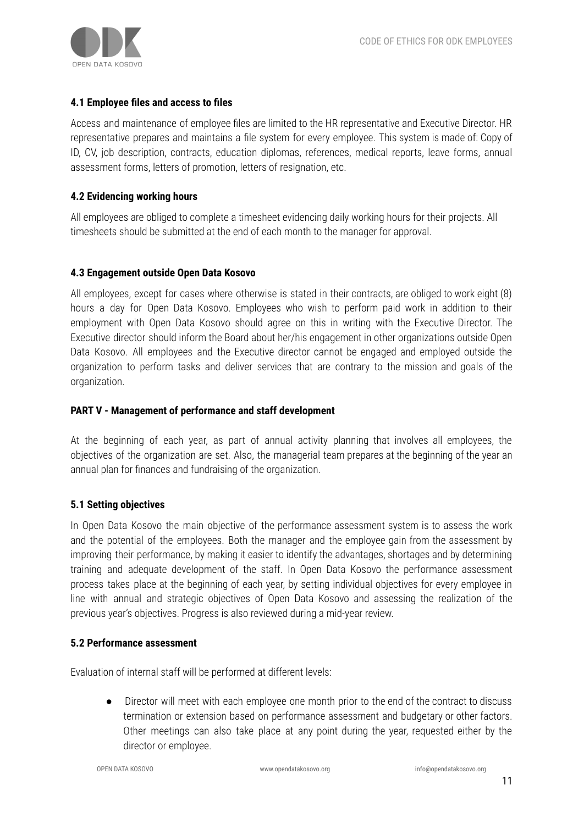#### **4.1 Employee files and access to files**

Access and maintenance of employee files are limited to the HR representative and Executive Director. HR representative prepares and maintains a file system for every employee. This system is made of: Copy of ID, CV, job description, contracts, education diplomas, references, medical reports, leave forms, annual assessment forms, letters of promotion, letters of resignation, etc.

#### **4.2 Evidencing working hours**

All employees are obliged to complete a timesheet evidencing daily working hours for their projects. All timesheets should be submitted at the end of each month to the manager for approval.

#### **4.3 Engagement outside Open Data Kosovo**

All employees, except for cases where otherwise is stated in their contracts, are obliged to work eight (8) hours a day for Open Data Kosovo. Employees who wish to perform paid work in addition to their employment with Open Data Kosovo should agree on this in writing with the Executive Director. The Executive director should inform the Board about her/his engagement in other organizations outside Open Data Kosovo. All employees and the Executive director cannot be engaged and employed outside the organization to perform tasks and deliver services that are contrary to the mission and goals of the organization.

#### **PART V - Management of performance and staff development**

At the beginning of each year, as part of annual activity planning that involves all employees, the objectives of the organization are set. Also, the managerial team prepares at the beginning of the year an annual plan for finances and fundraising of the organization.

#### **5.1 Setting objectives**

In Open Data Kosovo the main objective of the performance assessment system is to assess the work and the potential of the employees. Both the manager and the employee gain from the assessment by improving their performance, by making it easier to identify the advantages, shortages and by determining training and adequate development of the staff. In Open Data Kosovo the performance assessment process takes place at the beginning of each year, by setting individual objectives for every employee in line with annual and strategic objectives of Open Data Kosovo and assessing the realization of the previous year's objectives. Progress is also reviewed during a mid-year review.

#### **5.2 Performance assessment**

Evaluation of internal staff will be performed at different levels:

● Director will meet with each employee one month prior to the end of the contract to discuss termination or extension based on performance assessment and budgetary or other factors. Other meetings can also take place at any point during the year, requested either by the director or employee.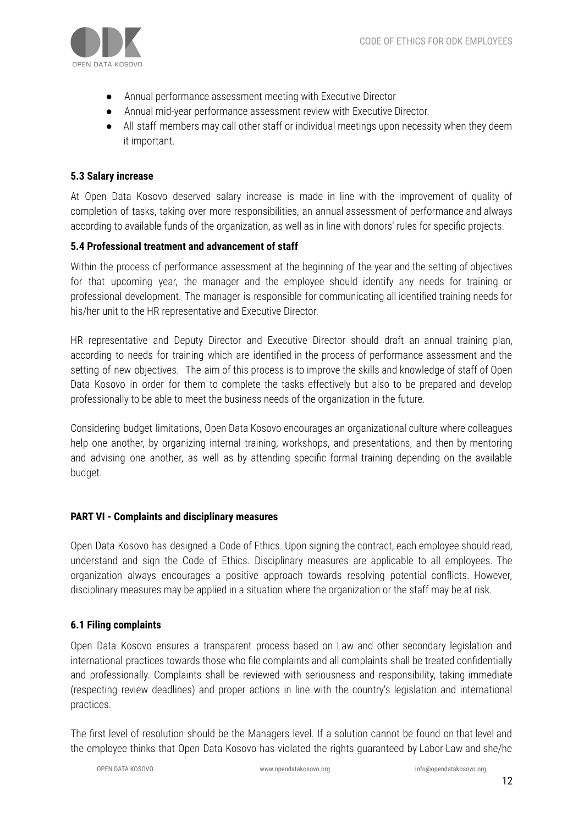

- Annual performance assessment meeting with Executive Director
- Annual mid-year performance assessment review with Executive Director.
- All staff members may call other staff or individual meetings upon necessity when they deem it important.

# **5.3 Salary increase**

At Open Data Kosovo deserved salary increase is made in line with the improvement of quality of completion of tasks, taking over more responsibilities, an annual assessment of performance and always according to available funds of the organization, as well as in line with donors' rules for specific projects.

# **5.4 Professional treatment and advancement of staff**

Within the process of performance assessment at the beginning of the year and the setting of objectives for that upcoming year, the manager and the employee should identify any needs for training or professional development. The manager is responsible for communicating all identified training needs for his/her unit to the HR representative and Executive Director.

HR representative and Deputy Director and Executive Director should draft an annual training plan, according to needs for training which are identified in the process of performance assessment and the setting of new objectives. The aim of this process is to improve the skills and knowledge of staff of Open Data Kosovo in order for them to complete the tasks effectively but also to be prepared and develop professionally to be able to meet the business needs of the organization in the future.

Considering budget limitations, Open Data Kosovo encourages an organizational culture where colleagues help one another, by organizing internal training, workshops, and presentations, and then by mentoring and advising one another, as well as by attending specific formal training depending on the available budget.

# **PART VI - Complaints and disciplinary measures**

Open Data Kosovo has designed a Code of Ethics. Upon signing the contract, each employee should read, understand and sign the Code of Ethics. Disciplinary measures are applicable to all employees. The organization always encourages a positive approach towards resolving potential conflicts. However, disciplinary measures may be applied in a situation where the organization or the staff may be at risk.

# **6.1 Filing complaints**

Open Data Kosovo ensures a transparent process based on Law and other secondary legislation and international practices towards those who file complaints and all complaints shall be treated confidentially and professionally. Complaints shall be reviewed with seriousness and responsibility, taking immediate (respecting review deadlines) and proper actions in line with the country's legislation and international practices.

The first level of resolution should be the Managers level. If a solution cannot be found on that level and the employee thinks that Open Data Kosovo has violated the rights guaranteed by Labor Law and she/he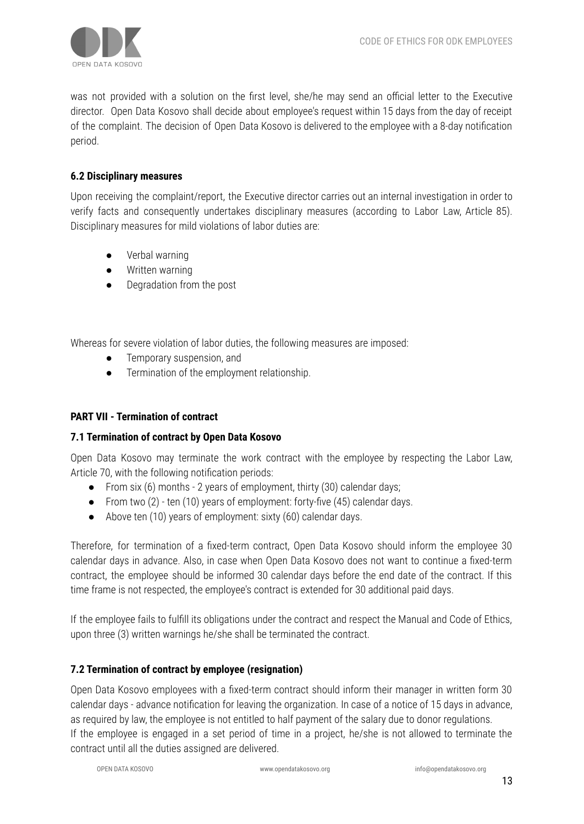

was not provided with a solution on the first level, she/he may send an official letter to the Executive director. Open Data Kosovo shall decide about employee's request within 15 days from the day of receipt of the complaint. The decision of Open Data Kosovo is delivered to the employee with a 8-day notification period.

# **6.2 Disciplinary measures**

Upon receiving the complaint/report, the Executive director carries out an internal investigation in order to verify facts and consequently undertakes disciplinary measures (according to Labor Law, Article 85). Disciplinary measures for mild violations of labor duties are:

- Verbal warning
- Written warning
- Degradation from the post

Whereas for severe violation of labor duties, the following measures are imposed:

- Temporary suspension, and
- Termination of the employment relationship.

#### **PART VII - Termination of contract**

#### **7.1 Termination of contract by Open Data Kosovo**

Open Data Kosovo may terminate the work contract with the employee by respecting the Labor Law, Article 70, with the following notification periods:

- From six  $(6)$  months 2 years of employment, thirty  $(30)$  calendar days;
- From two (2) ten (10) years of employment: forty-five (45) calendar days.
- Above ten (10) years of employment: sixty (60) calendar days.

Therefore, for termination of a fixed-term contract, Open Data Kosovo should inform the employee 30 calendar days in advance. Also, in case when Open Data Kosovo does not want to continue a fixed-term contract, the employee should be informed 30 calendar days before the end date of the contract. If this time frame is not respected, the employee's contract is extended for 30 additional paid days.

If the employee fails to fulfill its obligations under the contract and respect the Manual and Code of Ethics, upon three (3) written warnings he/she shall be terminated the contract.

# **7.2 Termination of contract by employee (resignation)**

Open Data Kosovo employees with a fixed-term contract should inform their manager in written form 30 calendar days - advance notification for leaving the organization. In case of a notice of 15 days in advance, as required by law, the employee is not entitled to half payment of the salary due to donor regulations. If the employee is engaged in a set period of time in a project, he/she is not allowed to terminate the contract until all the duties assigned are delivered.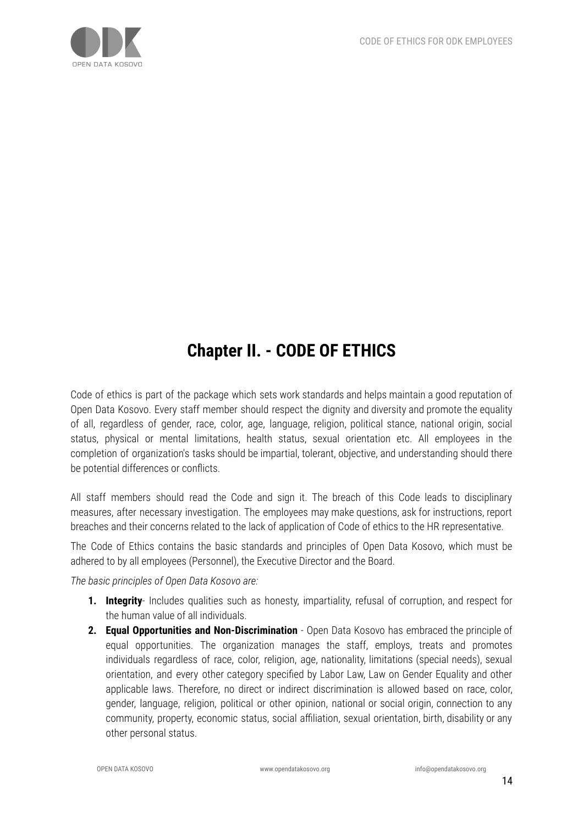

# **Chapter II. - CODE OF ETHICS**

Code of ethics is part of the package which sets work standards and helps maintain a good reputation of Open Data Kosovo. Every staff member should respect the dignity and diversity and promote the equality of all, regardless of gender, race, color, age, language, religion, political stance, national origin, social status, physical or mental limitations, health status, sexual orientation etc. All employees in the completion of organization's tasks should be impartial, tolerant, objective, and understanding should there be potential differences or conflicts.

All staff members should read the Code and sign it. The breach of this Code leads to disciplinary measures, after necessary investigation. The employees may make questions, ask for instructions, report breaches and their concerns related to the lack of application of Code of ethics to the HR representative.

The Code of Ethics contains the basic standards and principles of Open Data Kosovo, which must be adhered to by all employees (Personnel), the Executive Director and the Board.

*The basic principles of Open Data Kosovo are:*

- **1. Integrity** Includes qualities such as honesty, impartiality, refusal of corruption, and respect for the human value of all individuals.
- **2. Equal Opportunities and Non-Discrimination** Open Data Kosovo has embraced the principle of equal opportunities. The organization manages the staff, employs, treats and promotes individuals regardless of race, color, religion, age, nationality, limitations (special needs), sexual orientation, and every other category specified by Labor Law, Law on Gender Equality and other applicable laws. Therefore, no direct or indirect discrimination is allowed based on race, color, gender, language, religion, political or other opinion, national or social origin, connection to any community, property, economic status, social affiliation, sexual orientation, birth, disability or any other personal status.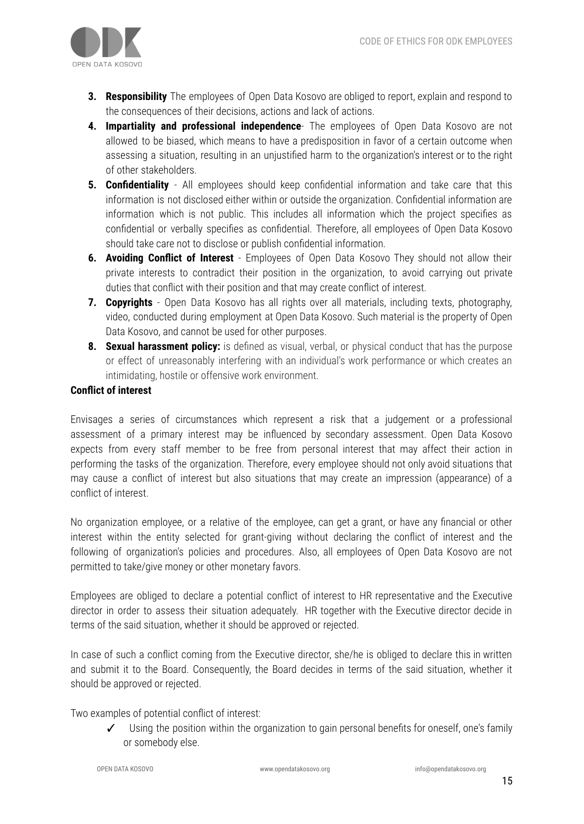

- **3. Responsibility** The employees of Open Data Kosovo are obliged to report, explain and respond to the consequences of their decisions, actions and lack of actions.
- **4. Impartiality and professional independence** The employees of Open Data Kosovo are not allowed to be biased, which means to have a predisposition in favor of a certain outcome when assessing a situation, resulting in an unjustified harm to the organization's interest or to the right of other stakeholders.
- **5. Confidentiality** All employees should keep confidential information and take care that this information is not disclosed either within or outside the organization. Confidential information are information which is not public. This includes all information which the project specifies as confidential or verbally specifies as confidential. Therefore, all employees of Open Data Kosovo should take care not to disclose or publish confidential information.
- **6. Avoiding Conflict of Interest** Employees of Open Data Kosovo They should not allow their private interests to contradict their position in the organization, to avoid carrying out private duties that conflict with their position and that may create conflict of interest.
- **7. Copyrights** Open Data Kosovo has all rights over all materials, including texts, photography, video, conducted during employment at Open Data Kosovo. Such material is the property of Open Data Kosovo, and cannot be used for other purposes.
- **8. Sexual harassment policy:** is defined as visual, verbal, or physical conduct that has the purpose or effect of unreasonably interfering with an individual's work performance or which creates an intimidating, hostile or offensive work environment.

#### **Conflict of interest**

Envisages a series of circumstances which represent a risk that a judgement or a professional assessment of a primary interest may be influenced by secondary assessment. Open Data Kosovo expects from every staff member to be free from personal interest that may affect their action in performing the tasks of the organization. Therefore, every employee should not only avoid situations that may cause a conflict of interest but also situations that may create an impression (appearance) of a conflict of interest.

No organization employee, or a relative of the employee, can get a grant, or have any financial or other interest within the entity selected for grant-giving without declaring the conflict of interest and the following of organization's policies and procedures. Also, all employees of Open Data Kosovo are not permitted to take/give money or other monetary favors.

Employees are obliged to declare a potential conflict of interest to HR representative and the Executive director in order to assess their situation adequately. HR together with the Executive director decide in terms of the said situation, whether it should be approved or rejected.

In case of such a conflict coming from the Executive director, she/he is obliged to declare this in written and submit it to the Board. Consequently, the Board decides in terms of the said situation, whether it should be approved or rejected.

Two examples of potential conflict of interest:

Using the position within the organization to gain personal benefits for oneself, one's family or somebody else.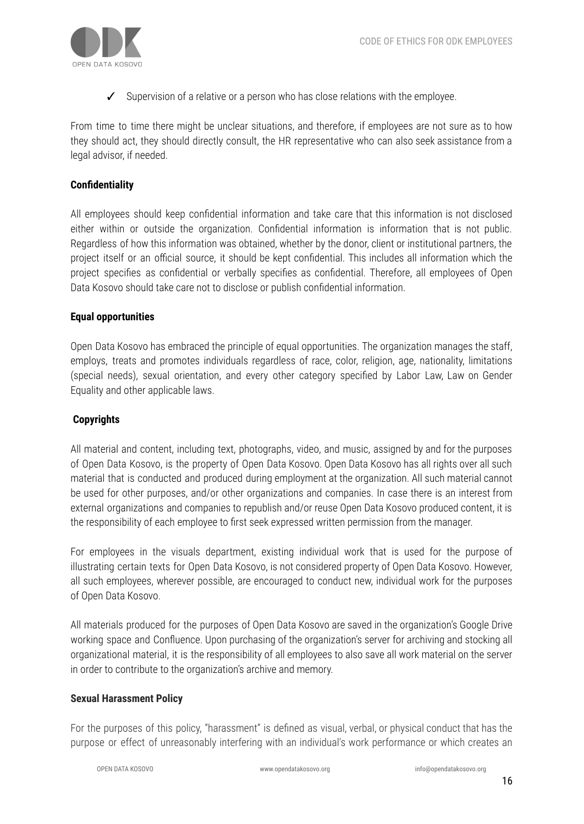

✓ Supervision of a relative or a person who has close relations with the employee.

From time to time there might be unclear situations, and therefore, if employees are not sure as to how they should act, they should directly consult, the HR representative who can also seek assistance from a legal advisor, if needed.

# **Confidentiality**

All employees should keep confidential information and take care that this information is not disclosed either within or outside the organization. Confidential information is information that is not public. Regardless of how this information was obtained, whether by the donor, client or institutional partners, the project itself or an official source, it should be kept confidential. This includes all information which the project specifies as confidential or verbally specifies as confidential. Therefore, all employees of Open Data Kosovo should take care not to disclose or publish confidential information.

#### **Equal opportunities**

Open Data Kosovo has embraced the principle of equal opportunities. The organization manages the staff, employs, treats and promotes individuals regardless of race, color, religion, age, nationality, limitations (special needs), sexual orientation, and every other category specified by Labor Law, Law on Gender Equality and other applicable laws.

# **Copyrights**

All material and content, including text, photographs, video, and music, assigned by and for the purposes of Open Data Kosovo, is the property of Open Data Kosovo. Open Data Kosovo has all rights over all such material that is conducted and produced during employment at the organization. All such material cannot be used for other purposes, and/or other organizations and companies. In case there is an interest from external organizations and companies to republish and/or reuse Open Data Kosovo produced content, it is the responsibility of each employee to first seek expressed written permission from the manager.

For employees in the visuals department, existing individual work that is used for the purpose of illustrating certain texts for Open Data Kosovo, is not considered property of Open Data Kosovo. However, all such employees, wherever possible, are encouraged to conduct new, individual work for the purposes of Open Data Kosovo.

All materials produced for the purposes of Open Data Kosovo are saved in the organization's Google Drive working space and Confluence. Upon purchasing of the organization's server for archiving and stocking all organizational material, it is the responsibility of all employees to also save all work material on the server in order to contribute to the organization's archive and memory.

#### **Sexual Harassment Policy**

For the purposes of this policy, "harassment" is defined as visual, verbal, or physical conduct that has the purpose or effect of unreasonably interfering with an individual's work performance or which creates an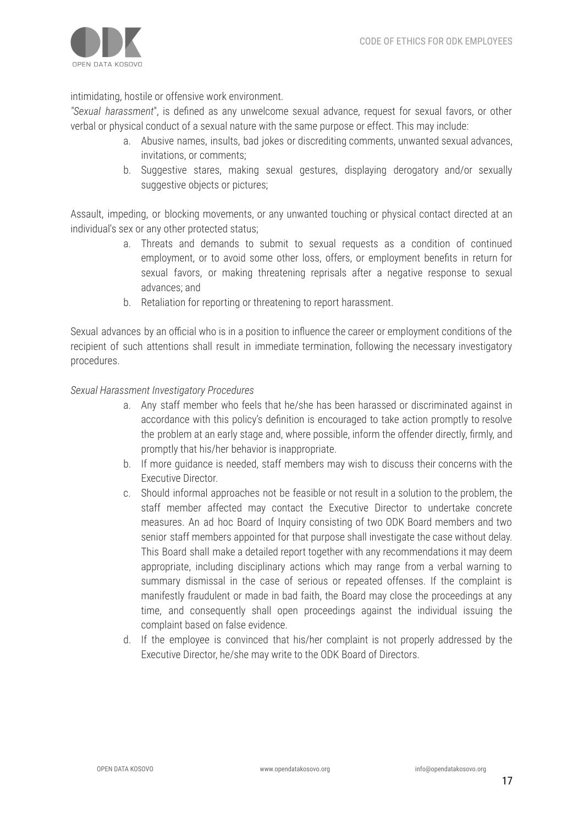

intimidating, hostile or offensive work environment.

*"Sexual harassment*", is defined as any unwelcome sexual advance, request for sexual favors, or other verbal or physical conduct of a sexual nature with the same purpose or effect. This may include:

- a. Abusive names, insults, bad jokes or discrediting comments, unwanted sexual advances, invitations, or comments;
- b. Suggestive stares, making sexual gestures, displaying derogatory and/or sexually suggestive objects or pictures;

Assault, impeding, or blocking movements, or any unwanted touching or physical contact directed at an individual's sex or any other protected status;

- a. Threats and demands to submit to sexual requests as a condition of continued employment, or to avoid some other loss, offers, or employment benefits in return for sexual favors, or making threatening reprisals after a negative response to sexual advances; and
- b. Retaliation for reporting or threatening to report harassment.

Sexual advances by an official who is in a position to influence the career or employment conditions of the recipient of such attentions shall result in immediate termination, following the necessary investigatory procedures.

#### *Sexual Harassment Investigatory Procedures*

- a. Any staff member who feels that he/she has been harassed or discriminated against in accordance with this policy's definition is encouraged to take action promptly to resolve the problem at an early stage and, where possible, inform the offender directly, firmly, and promptly that his/her behavior is inappropriate.
- b. If more guidance is needed, staff members may wish to discuss their concerns with the Executive Director.
- c. Should informal approaches not be feasible or not result in a solution to the problem, the staff member affected may contact the Executive Director to undertake concrete measures. An ad hoc Board of Inquiry consisting of two ODK Board members and two senior staff members appointed for that purpose shall investigate the case without delay. This Board shall make a detailed report together with any recommendations it may deem appropriate, including disciplinary actions which may range from a verbal warning to summary dismissal in the case of serious or repeated offenses. If the complaint is manifestly fraudulent or made in bad faith, the Board may close the proceedings at any time, and consequently shall open proceedings against the individual issuing the complaint based on false evidence.
- d. If the employee is convinced that his/her complaint is not properly addressed by the Executive Director, he/she may write to the ODK Board of Directors.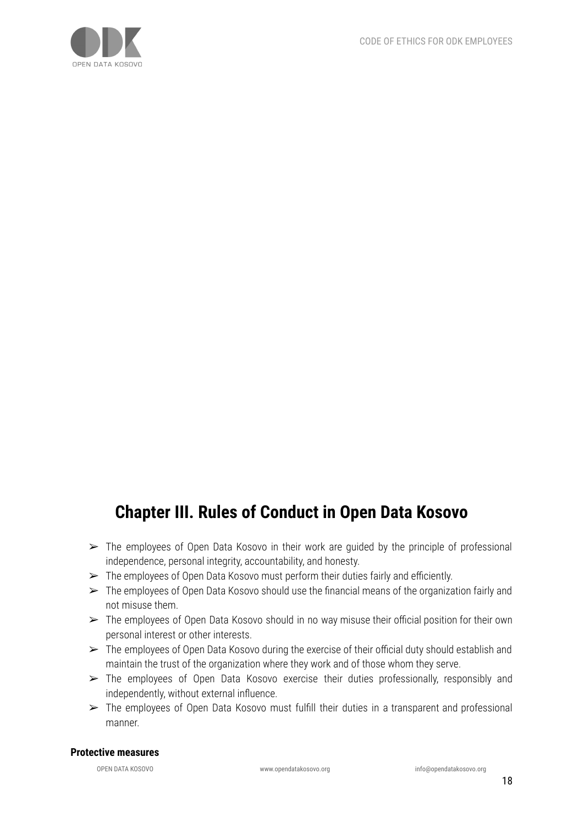

# **Chapter III. Rules of Conduct in Open Data Kosovo**

- $\triangleright$  The employees of Open Data Kosovo in their work are quided by the principle of professional independence, personal integrity, accountability, and honesty.
- $\triangleright$  The employees of Open Data Kosovo must perform their duties fairly and efficiently.
- $\triangleright$  The employees of Open Data Kosovo should use the financial means of the organization fairly and not misuse them.
- $\triangleright$  The employees of Open Data Kosovo should in no way misuse their official position for their own personal interest or other interests.
- ➢ The employees of Open Data Kosovo during the exercise of their official duty should establish and maintain the trust of the organization where they work and of those whom they serve.
- ➢ The employees of Open Data Kosovo exercise their duties professionally, responsibly and independently, without external influence.
- ➢ The employees of Open Data Kosovo must fulfill their duties in a transparent and professional manner.

#### **Protective measures**

OPEN DATA KOSOVO www.opendatakosovo.org info@opendatakosovo.org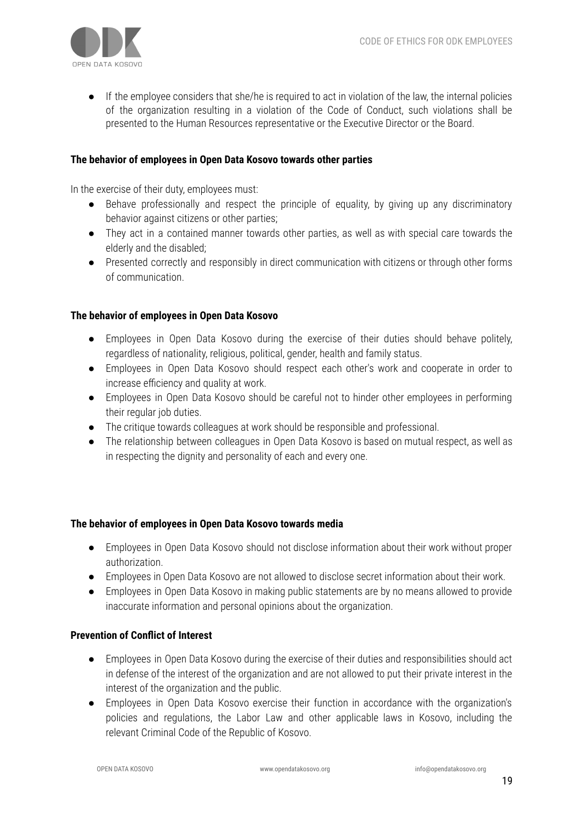

If the employee considers that she/he is required to act in violation of the law, the internal policies of the organization resulting in a violation of the Code of Conduct, such violations shall be presented to the Human Resources representative or the Executive Director or the Board.

#### **The behavior of employees in Open Data Kosovo towards other parties**

In the exercise of their duty, employees must:

- Behave professionally and respect the principle of equality, by giving up any discriminatory behavior against citizens or other parties;
- They act in a contained manner towards other parties, as well as with special care towards the elderly and the disabled;
- Presented correctly and responsibly in direct communication with citizens or through other forms of communication.

#### **The behavior of employees in Open Data Kosovo**

- Employees in Open Data Kosovo during the exercise of their duties should behave politely, regardless of nationality, religious, political, gender, health and family status.
- Employees in Open Data Kosovo should respect each other's work and cooperate in order to increase efficiency and quality at work.
- Employees in Open Data Kosovo should be careful not to hinder other employees in performing their regular job duties.
- The critique towards colleagues at work should be responsible and professional.
- The relationship between colleagues in Open Data Kosovo is based on mutual respect, as well as in respecting the dignity and personality of each and every one.

#### **The behavior of employees in Open Data Kosovo towards media**

- Employees in Open Data Kosovo should not disclose information about their work without proper authorization.
- Employees in Open Data Kosovo are not allowed to disclose secret information about their work.
- Employees in Open Data Kosovo in making public statements are by no means allowed to provide inaccurate information and personal opinions about the organization.

#### **Prevention of Conflict of Interest**

- Employees in Open Data Kosovo during the exercise of their duties and responsibilities should act in defense of the interest of the organization and are not allowed to put their private interest in the interest of the organization and the public.
- Employees in Open Data Kosovo exercise their function in accordance with the organization's policies and regulations, the Labor Law and other applicable laws in Kosovo, including the relevant Criminal Code of the Republic of Kosovo.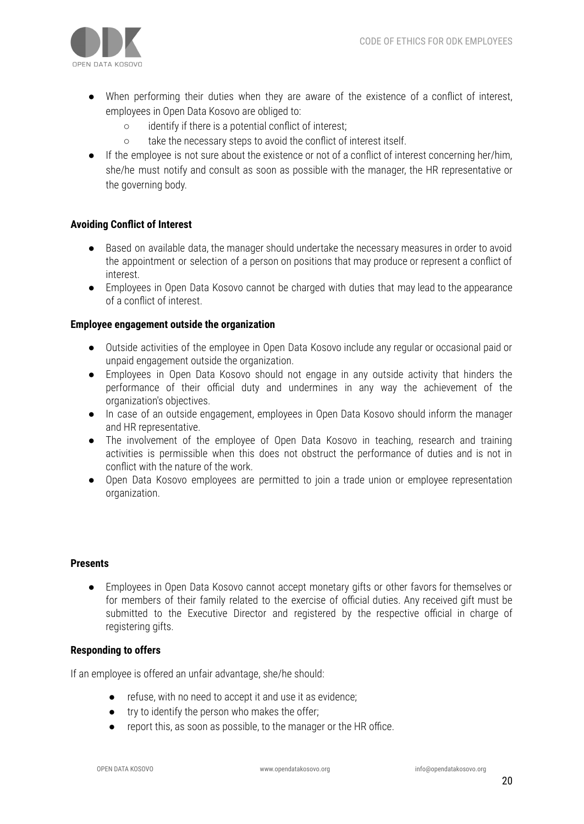

- When performing their duties when they are aware of the existence of a conflict of interest, employees in Open Data Kosovo are obliged to:
	- identify if there is a potential conflict of interest;
	- take the necessary steps to avoid the conflict of interest itself.
- If the employee is not sure about the existence or not of a conflict of interest concerning her/him, she/he must notify and consult as soon as possible with the manager, the HR representative or the governing body.

#### **Avoiding Conflict of Interest**

- Based on available data, the manager should undertake the necessary measures in order to avoid the appointment or selection of a person on positions that may produce or represent a conflict of interest.
- Employees in Open Data Kosovo cannot be charged with duties that may lead to the appearance of a conflict of interest.

#### **Employee engagement outside the organization**

- Outside activities of the employee in Open Data Kosovo include any regular or occasional paid or unpaid engagement outside the organization.
- Employees in Open Data Kosovo should not engage in any outside activity that hinders the performance of their official duty and undermines in any way the achievement of the organization's objectives.
- In case of an outside engagement, employees in Open Data Kosovo should inform the manager and HR representative.
- The involvement of the employee of Open Data Kosovo in teaching, research and training activities is permissible when this does not obstruct the performance of duties and is not in conflict with the nature of the work.
- Open Data Kosovo employees are permitted to join a trade union or employee representation organization.

#### **Presents**

● Employees in Open Data Kosovo cannot accept monetary gifts or other favors for themselves or for members of their family related to the exercise of official duties. Any received gift must be submitted to the Executive Director and registered by the respective official in charge of registering gifts.

#### **Responding to offers**

If an employee is offered an unfair advantage, she/he should:

- refuse, with no need to accept it and use it as evidence;
- try to identify the person who makes the offer;
- report this, as soon as possible, to the manager or the HR office.